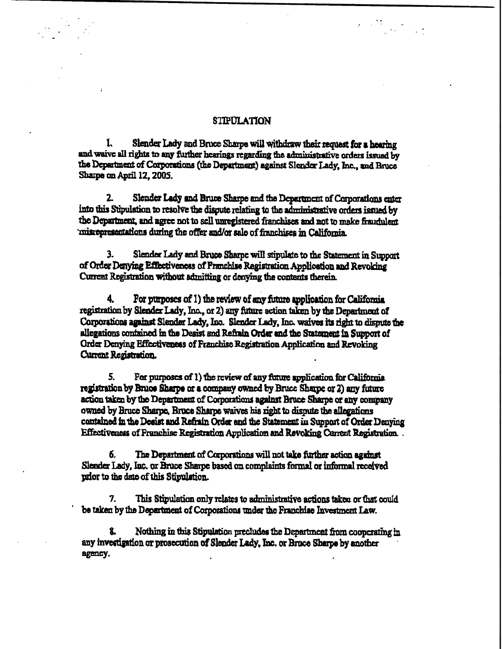## **STIPULATION**

 $\label{eq:2} \frac{1}{2}\sum_{i=1}^{n-1}\frac{1}{2}\sum_{j=1}^{n-1}\frac{1}{2}\sum_{j=1}^{n-1}\frac{1}{2}\sum_{j=1}^{n-1}\frac{1}{2}\sum_{j=1}^{n-1}\frac{1}{2}\sum_{j=1}^{n-1}\frac{1}{2}\sum_{j=1}^{n-1}\frac{1}{2}\sum_{j=1}^{n-1}\frac{1}{2}\sum_{j=1}^{n-1}\frac{1}{2}\sum_{j=1}^{n-1}\frac{1}{2}\sum_{j=1}^{n-1}\frac{1}{2}\sum_{j=1}^{n-1}\frac{1}{2}\sum_{$ 

1. Slender Lady and Bruce Sharpe will withdraw their request for a hearing and waive all rights to any further hearings regarding the administrative orders issued by the Department of Corporations (the Department) against Slender Lady, Inc., and Bruce Sharpe on April 12, 2005.

2. Slender Lady and Bruce Sharpe and the Department of Corporations enter into this Stipulation to resolve the dispute relating to the administrative orders issued by the Department, and agree not to sell unregistered franchises and not to make fraudulent misrepresentations during the offer and/or sale of franchises in California

3. Slender Lady and Bruce Sharpe will stipulate to the Statement in Support of Order Denying Effectiveness of Franchise Registration Application and Revoking Current Registration without admitting or denying the contents therein.

4. For purposes of 1) the review of any future application for California registration by Slender Lady, Inc., or 2) any future action taken by the Department of Corporations against Slender Lady, Inc. Slender Lady, Inc. waives its right to dispute the allegations contained in the Desist and Refrain Order and the Statement in Support of Order Denying Effectiveness of Franchise Registration Application and Revoking Current Registration.

5. For purposes of 1) the review of any future application for California registration by Bruce Sharpe or a company owned by Bruce Sharpe or 2) any future action taken by the Department of Corporations against Brace Sharpe or any company owned by Bruce Sharpe, Bruce Sharpe waives his right to dispute the allegations contained in the Desist and Refrain Order and the Statement in Support of Order Denying Effectiveness of Franchise Registration Application and Revoking Current Registration. .

6. The Department of Corporations will not take further action against Slender Lady, Inc. or Bruce Sharpe based on complaints formal or informal received prior to the date of this Stipulation.

7. This Stipulation only relates to administrative actions taken or that could be taken by the Department of Corporations under the Franchise Investment Law.

Nothing in this Stipulation precludes the Department from cooperating in any investigation or prosecution of Slender Lady, Inc. or Brace Sharpe by another agency.